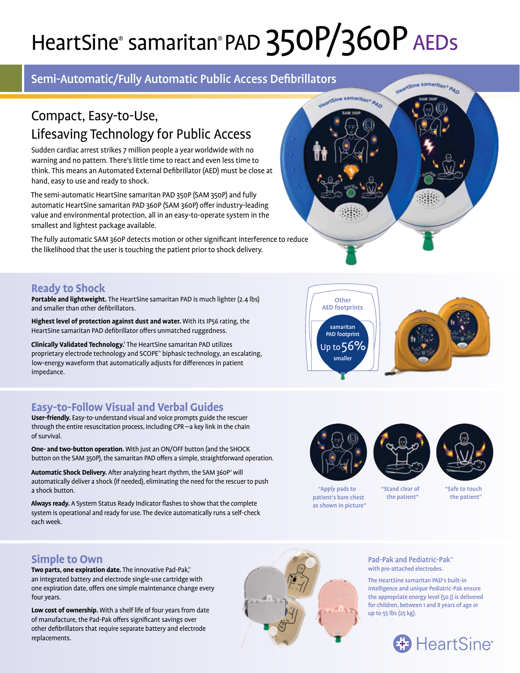# HeartSine® samaritan® PAD 350P/360P AEDs

## Semi-Automatic/Fully Automatic Public Access Defibrillators

## Compact, Easy-to-Use, Lifesaving Technology for Public Access

Sudden cardiac arrest strikes 7 million people a year worldwide with no warning and no pattern. There's little time to react and even less time to think. This means an Automated External Defibrillator (AED) must be close at hand, easy to use and ready to shock.

The semi-automatic HeartSine samaritan PAD 350P (SAM 350P) and fully automatic HeartSine samaritan PAD 360P (SAM 360P) offer industry-leading value and environmental protection, all in an easy-to-operate system in the smallest and lightest package available.

The fully automatic SAM 360P detects motion or other significant interference to reduce the likelihood that the user is touching the patient prior to shock delivery.



## **Ready to Shock**

**Portable and lightweight.** The HeartSine samaritan PAD is much lighter (2.4 lbs) and smaller than other defibrillators.

**Highest level of protection against dust and water.** With its IP56 rating, the HeartSine samaritan PAD defibrillator offers unmatched ruggedness.

**Clinically Validated Technology.1** The HeartSine samaritan PAD utilizes proprietary electrode technology and SCOPE™ biphasic technology, an escalating, low-energy waveform that automatically adjusts for differences in patient impedance.

## **Easy-to-Follow Visual and Verbal Guides**

**User-friendly.** Easy-to-understand visual and voice prompts guide the rescuer through the entire resuscitation process, including CPR—a key link in the chain of survival.

**One- and two-button operation.** With just an ON/OFF button (and the SHOCK button on the SAM 350P), the samaritan PAD offers a simple, straightforward operation.

Automatic Shock Delivery. After analyzing heart rhythm, the SAM 360P<sup>2</sup> will automatically deliver a shock (if needed), eliminating the need for the rescuer to push a shock button.

**Always ready.** A System Status Ready Indicator flashes to show that the complete system is operational and ready for use. The device automatically runs a self-check each week.



**Other** AED footprints

samaritan PAD footprint Up to  $56%$ smaller





"Apply pads to patient's bare chest as shown in picture"

"Stand clear of the patient"

"Safe to touch the patient"

### **Simple to Own**

**Two parts, one expiration date.** The innovative Pad-Pak™ an integrated battery and electrode single-use cartridge with one expiration date, offers one simple maintenance change every four years.

**Low cost of ownership.** With a shelf life of four years from date of manufacture, the Pad-Pak offers significant savings over other defibrillators that require separate battery and electrode replacements.



Pad-Pak and Pediatric-Pak™ with pre-attached electrodes.

The HeartSine samaritan PAD's built-in intelligence and unique Pediatric-Pak ensure the appropriate energy level (50 J) is delivered for children, between 1 and 8 years of age or up to 55 lbs (25 kg).

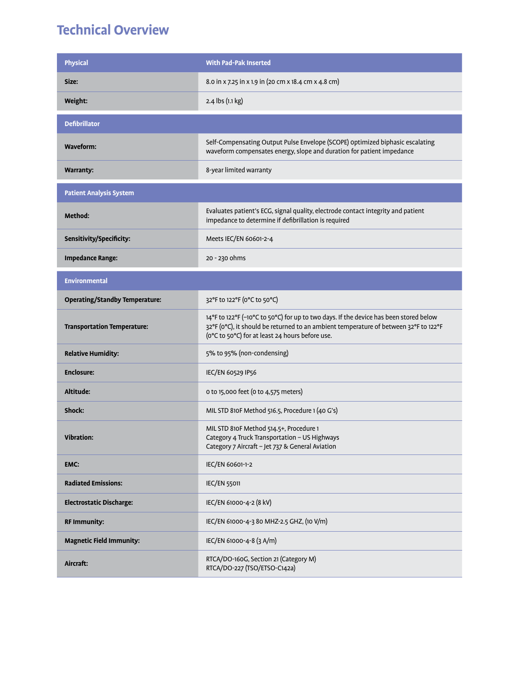## **Technical Overview**

| <b>Physical</b>                       | <b>With Pad-Pak Inserted</b>                                                                                                                                                                                                     |
|---------------------------------------|----------------------------------------------------------------------------------------------------------------------------------------------------------------------------------------------------------------------------------|
| Size:                                 | 8.0 in x 7.25 in x 1.9 in (20 cm x 18.4 cm x 4.8 cm)                                                                                                                                                                             |
| Weight:                               | 2.4 lbs (1.1 kg)                                                                                                                                                                                                                 |
| <b>Defibrillator</b>                  |                                                                                                                                                                                                                                  |
| <b>Waveform:</b>                      | Self-Compensating Output Pulse Envelope (SCOPE) optimized biphasic escalating<br>waveform compensates energy, slope and duration for patient impedance                                                                           |
| <b>Warranty:</b>                      | 8-year limited warranty                                                                                                                                                                                                          |
| <b>Patient Analysis System</b>        |                                                                                                                                                                                                                                  |
| Method:                               | Evaluates patient's ECG, signal quality, electrode contact integrity and patient<br>impedance to determine if defibrillation is required                                                                                         |
| Sensitivity/Specificity:              | Meets IEC/EN 60601-2-4                                                                                                                                                                                                           |
| <b>Impedance Range:</b>               | 20 - 230 ohms                                                                                                                                                                                                                    |
| <b>Environmental</b>                  |                                                                                                                                                                                                                                  |
| <b>Operating/Standby Temperature:</b> | 32°F to 122°F (0°C to 50°C)                                                                                                                                                                                                      |
| <b>Transportation Temperature:</b>    | 14°F to 122°F (-10°C to 50°C) for up to two days. If the device has been stored below<br>32°F (0°C), it should be returned to an ambient temperature of between 32°F to 122°F<br>(0°C to 50°C) for at least 24 hours before use. |
| <b>Relative Humidity:</b>             | 5% to 95% (non-condensing)                                                                                                                                                                                                       |
| <b>Enclosure:</b>                     | IEC/EN 60529 IP56                                                                                                                                                                                                                |
| Altitude:                             | 0 to 15,000 feet (0 to 4,575 meters)                                                                                                                                                                                             |
| Shock:                                | MIL STD 810F Method 516.5, Procedure 1 (40 G's)                                                                                                                                                                                  |
| <b>Vibration:</b>                     | MIL STD 810F Method 514.5+, Procedure 1<br>Category 4 Truck Transportation - US Highways<br>Category 7 Aircraft - Jet 737 & General Aviation                                                                                     |
| EMC:                                  | IEC/EN 60601-1-2                                                                                                                                                                                                                 |
| <b>Radiated Emissions:</b>            | <b>IEC/EN 55011</b>                                                                                                                                                                                                              |
| <b>Electrostatic Discharge:</b>       | IEC/EN 61000-4-2 (8 kV)                                                                                                                                                                                                          |
| <b>RF Immunity:</b>                   | IEC/EN 61000-4-3 80 MHZ-2.5 GHZ, (10 V/m)                                                                                                                                                                                        |
| <b>Magnetic Field Immunity:</b>       | IEC/EN 61000-4-8 (3 A/m)                                                                                                                                                                                                         |
| Aircraft:                             | RTCA/DO-160G, Section 21 (Category M)<br>RTCA/DO-227 (TSO/ETSO-C142a)                                                                                                                                                            |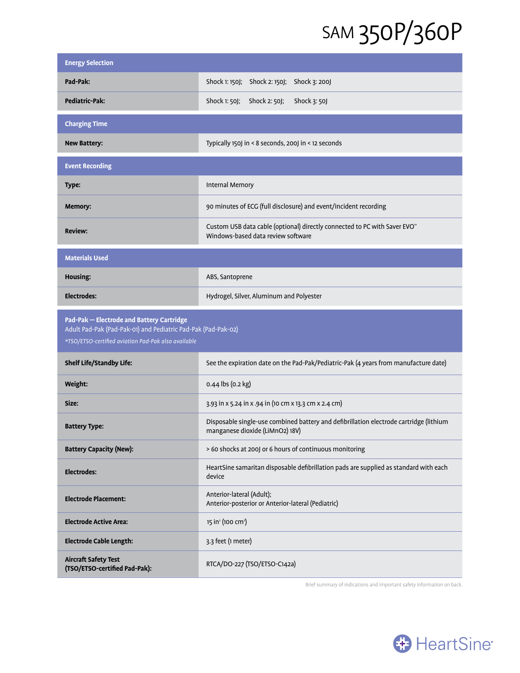## SAM 350P/360P

| <b>Energy Selection</b>                                                                                                                                           |                                                                                                                             |
|-------------------------------------------------------------------------------------------------------------------------------------------------------------------|-----------------------------------------------------------------------------------------------------------------------------|
| Pad-Pak:                                                                                                                                                          | Shock 1: 150J; Shock 2: 150J;<br>Shock 3: 200J                                                                              |
| <b>Pediatric-Pak:</b>                                                                                                                                             | Shock 1: 50J;<br>Shock 2: 50J;<br>Shock 3: 50J                                                                              |
| <b>Charging Time</b>                                                                                                                                              |                                                                                                                             |
| <b>New Battery:</b>                                                                                                                                               | Typically 150J in < 8 seconds, 200J in < 12 seconds                                                                         |
| <b>Event Recording</b>                                                                                                                                            |                                                                                                                             |
| Type:                                                                                                                                                             | Internal Memory                                                                                                             |
| Memory:                                                                                                                                                           | 90 minutes of ECG (full disclosure) and event/incident recording                                                            |
| <b>Review:</b>                                                                                                                                                    | Custom USB data cable (optional) directly connected to PC with Saver EVO <sup>®</sup><br>Windows-based data review software |
| <b>Materials Used</b>                                                                                                                                             |                                                                                                                             |
| Housing:                                                                                                                                                          | ABS, Santoprene                                                                                                             |
| <b>Electrodes:</b>                                                                                                                                                | Hydrogel, Silver, Aluminum and Polyester                                                                                    |
| Pad-Pak - Electrode and Battery Cartridge<br>Adult Pad-Pak (Pad-Pak-01) and Pediatric Pad-Pak (Pad-Pak-02)<br>*TSO/ETSO-certified aviation Pad-Pak also available |                                                                                                                             |
|                                                                                                                                                                   |                                                                                                                             |
| <b>Shelf Life/Standby Life:</b>                                                                                                                                   | See the expiration date on the Pad-Pak/Pediatric-Pak (4 years from manufacture date)                                        |
| Weight:                                                                                                                                                           | 0.44 lbs (0.2 kg)                                                                                                           |
| Size:                                                                                                                                                             | 3.93 in x 5.24 in x .94 in (10 cm x 13.3 cm x 2.4 cm)                                                                       |
| <b>Battery Type:</b>                                                                                                                                              | Disposable single-use combined battery and defibrillation electrode cartridge (lithium<br>manganese dioxide (LiMnO2) 18V)   |
| <b>Battery Capacity (New):</b>                                                                                                                                    | > 60 shocks at 200J or 6 hours of continuous monitoring                                                                     |
| <b>Electrodes:</b>                                                                                                                                                | HeartSine samaritan disposable defibrillation pads are supplied as standard with each<br>device                             |
| <b>Electrode Placement:</b>                                                                                                                                       | Anterior-lateral (Adult);<br>Anterior-posterior or Anterior-lateral (Pediatric)                                             |
| <b>Electrode Active Area:</b>                                                                                                                                     | 15 in <sup>2</sup> (100 cm <sup>2</sup> )                                                                                   |
| <b>Electrode Cable Length:</b>                                                                                                                                    | 3.3 feet (1 meter)                                                                                                          |

Brief summary of indications and important safety information on back.